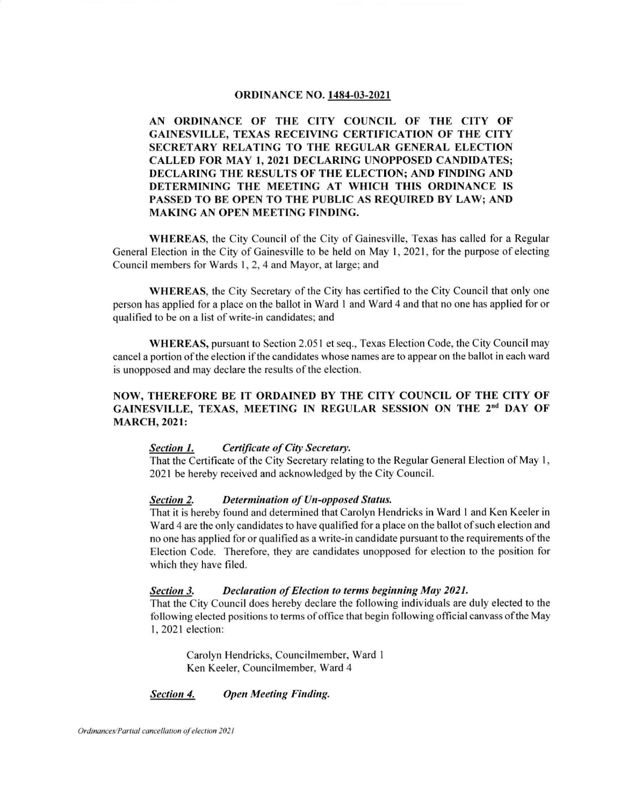### oRDINANCE NO. 1484-03-2021

AN ORDINANCE OF THE CITY COUNCIL OF THE CITY OF GAINESVILLE, TEXAS RECEIVING CERTIFICATION OF THE CITY SECRETARY RELATING TO THE REGULAR CENERAL ELECTION CALLED FOR MAY I,2O2I DECLARING UNOPPOSED CANDIDATES; DECLARING THE RESULTS OF THE ELECTION; AND FINDING AND DETERMINING THE MEETING AT WHICH THIS ORDINANCE IS PASSED TO BE OPEN TO THE PUBLIC AS REQUIRED BY LAW; AND MAKING AN OPEN MEETING FINDING.

WHEREAS, the City Council of the City of Gainesville, Texas has called for a Regular General Election in the City of Gainesville to be held on May 1, 2021, for the purpose of electing Council members for Wards 1, 2, 4 and Mayor, at large; and

WHEREAS, the City Secretary of the City has certified to the City Council that only one person has applied for a place on the ballot in Ward I and Ward 4 and that no one has applied for or qualified to be on a list of write-in candidates: and

WHEREAS, pursuant to Section 2.051 et seq., Texas Election Code, the City Council may cancel a portion ofthe election ifthe candidates whose names are to appear on the ballot in each ward is unopposed and may declare the results of the election.

# NOW, THEREFORE BE IT ORDAINED BY THE CITY COUNCIL OF THE CITY OF GAINESVILLE, TEXAS, MEETING IN REGULAR SESSION ON THE 2<sup>nd</sup> DAY OF MARCH, 2O2I:

### Section 1. Certificate of City Secretary.

That the Certificate of the City Secretary relating to the Regular General Election of May 1, 2021 be hereby received and acknowledged by the City Council.

### Section 2. Determination of Un-opposed Status.

That it is hereby found and determined that Carolyn Hendricks in Ward I and Ken Keeler in Ward 4 are the only candidates to have qualified for a place on the ballot of such election and no one has applied for or qualified as a write-in candidate pursuant to the requirements ofthe Election Code. Therefore, they are candidates unopposed for election to the position for which they have filed.

#### Section 3. Declaration of Election to terms beginning May 2021.

That the City Council does hereby declare the following individuals are duly elected to the following elected positions to terms of office that begin following official canvass ofthe May l, 2021 election:

Carolyn Hendricks, Councilmember, Ward I Ken Keeler, Councilmember. Ward 4

#### Section 4. Open Meeting Finding.